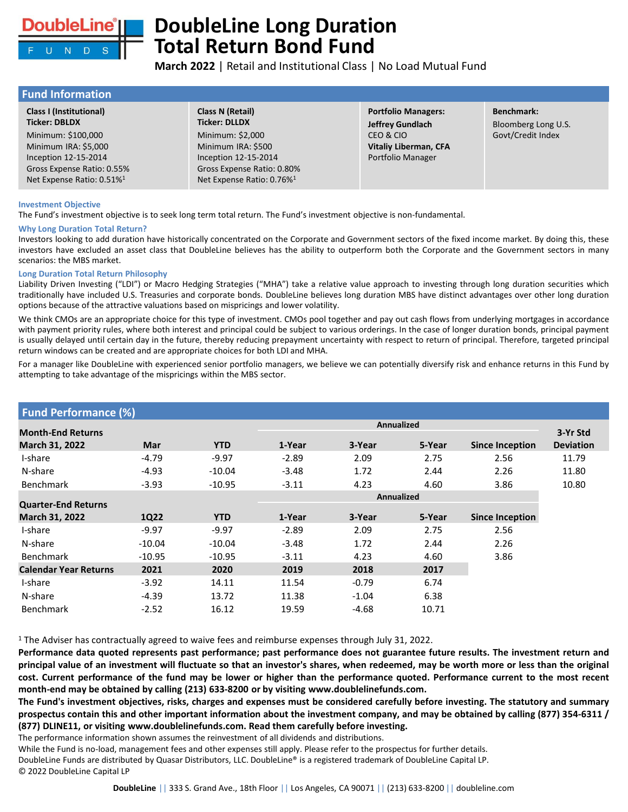

# **DoubleLine Long Duration Total Return Bond Fund**

**March 2022** | Retail and Institutional Class | No Load Mutual Fund

 $g$  U.S. lex

## **Fund Information**

| <b>Class I (Institutional)</b>                                                                                                            | Class N (Retail)                                                                                                                      | <b>Portfolio Managers:</b>                              | <b>Benchmark:</b>    |
|-------------------------------------------------------------------------------------------------------------------------------------------|---------------------------------------------------------------------------------------------------------------------------------------|---------------------------------------------------------|----------------------|
| <b>Ticker: DBLDX</b>                                                                                                                      | <b>Ticker: DLLDX</b>                                                                                                                  | <b>Jeffrey Gundlach</b>                                 | <b>Bloomberg Lor</b> |
| Minimum: \$100,000<br>Minimum IRA: \$5,000<br>Inception 12-15-2014<br>Gross Expense Ratio: 0.55%<br>Net Expense Ratio: 0.51% <sup>1</sup> | Minimum: \$2,000<br>Minimum IRA: \$500<br>Inception 12-15-2014<br>Gross Expense Ratio: 0.80%<br>Net Expense Ratio: 0.76% <sup>1</sup> | CEO & CIO<br>Vitaliy Liberman, CFA<br>Portfolio Manager | Govt/Credit In       |

### **Investment Objective**

The Fund's investment objective is to seek long term total return. The Fund's investment objective is non-fundamental.

## **Why Long Duration Total Return?**

Investors looking to add duration have historically concentrated on the Corporate and Government sectors of the fixed income market. By doing this, these investors have excluded an asset class that DoubleLine believes has the ability to outperform both the Corporate and the Government sectors in many scenarios: the MBS market.

### **Long Duration Total Return Philosophy**

Liability Driven Investing ("LDI") or Macro Hedging Strategies ("MHA") take a relative value approach to investing through long duration securities which traditionally have included U.S. Treasuries and corporate bonds. DoubleLine believes long duration MBS have distinct advantages over other long duration options because of the attractive valuations based on mispricings and lower volatility.

We think CMOs are an appropriate choice for this type of investment. CMOs pool together and pay out cash flows from underlying mortgages in accordance with payment priority rules, where both interest and principal could be subject to various orderings. In the case of longer duration bonds, principal payment is usually delayed until certain day in the future, thereby reducing prepayment uncertainty with respect to return of principal. Therefore, targeted principal return windows can be created and are appropriate choices for both LDI and MHA.

For a manager like DoubleLine with experienced senior portfolio managers, we believe we can potentially diversify risk and enhance returns in this Fund by attempting to take advantage of the mispricings within the MBS sector.

| <b>Fund Performance (%)</b>                  |          |            |                   |         |        |                        |                  |
|----------------------------------------------|----------|------------|-------------------|---------|--------|------------------------|------------------|
| <b>Month-End Returns</b>                     |          |            | <b>Annualized</b> |         |        |                        |                  |
| March 31, 2022                               | Mar      | <b>YTD</b> | 1-Year            | 3-Year  | 5-Year | <b>Since Inception</b> | <b>Deviation</b> |
| I-share                                      | $-4.79$  | $-9.97$    | $-2.89$           | 2.09    | 2.75   | 2.56                   |                  |
| N-share                                      | $-4.93$  | $-10.04$   | $-3.48$           | 1.72    | 2.44   | 2.26                   |                  |
| <b>Benchmark</b>                             | $-3.93$  | $-10.95$   | $-3.11$           | 4.23    | 4.60   | 3.86                   |                  |
|                                              |          |            | <b>Annualized</b> |         |        |                        |                  |
| <b>Quarter-End Returns</b><br>March 31, 2022 | 1Q22     | <b>YTD</b> | 1-Year            | 3-Year  | 5-Year | <b>Since Inception</b> |                  |
| I-share                                      | $-9.97$  | $-9.97$    | $-2.89$           | 2.09    | 2.75   | 2.56                   |                  |
| N-share                                      | $-10.04$ | $-10.04$   | $-3.48$           | 1.72    | 2.44   | 2.26                   |                  |
| <b>Benchmark</b>                             | $-10.95$ | $-10.95$   | $-3.11$           | 4.23    | 4.60   | 3.86                   |                  |
| <b>Calendar Year Returns</b>                 | 2021     | 2020       | 2019              | 2018    | 2017   |                        |                  |
| I-share                                      | $-3.92$  | 14.11      | 11.54             | $-0.79$ | 6.74   |                        |                  |
| N-share                                      | $-4.39$  | 13.72      | 11.38             | $-1.04$ | 6.38   |                        |                  |
| <b>Benchmark</b>                             | $-2.52$  | 16.12      | 19.59             | $-4.68$ | 10.71  |                        |                  |

<sup>1</sup> The Adviser has contractually agreed to waive fees and reimburse expenses through July 31, 2022.

Performance data quoted represents past performance; past performance does not guarantee future results. The investment return and principal value of an investment will fluctuate so that an investor's shares, when redeemed, may be worth more or less than the original cost. Current performance of the fund may be lower or higher than the performance quoted. Performance current to the most recent **month-end may be obtained by calling (213) 633-8200 or by visiting www.doublelinefunds.com.**

The Fund's investment objectives, risks, charges and expenses must be considered carefully before investing. The statutory and summary prospectus contain this and other important information about the investment company, and may be obtained by calling (877) 354-6311 / **(877) DLINE11, or visiting www.doublelinefunds.com. Read them carefully before investing.**

The performance information shown assumes the reinvestment of all dividends and distributions.

While the Fund is no-load, management fees and other expenses still apply. Please refer to the prospectus for further details.

DoubleLine Funds are distributed by Quasar Distributors, LLC. DoubleLine® is a registered trademark of DoubleLine Capital LP. © 2022 DoubleLine Capital LP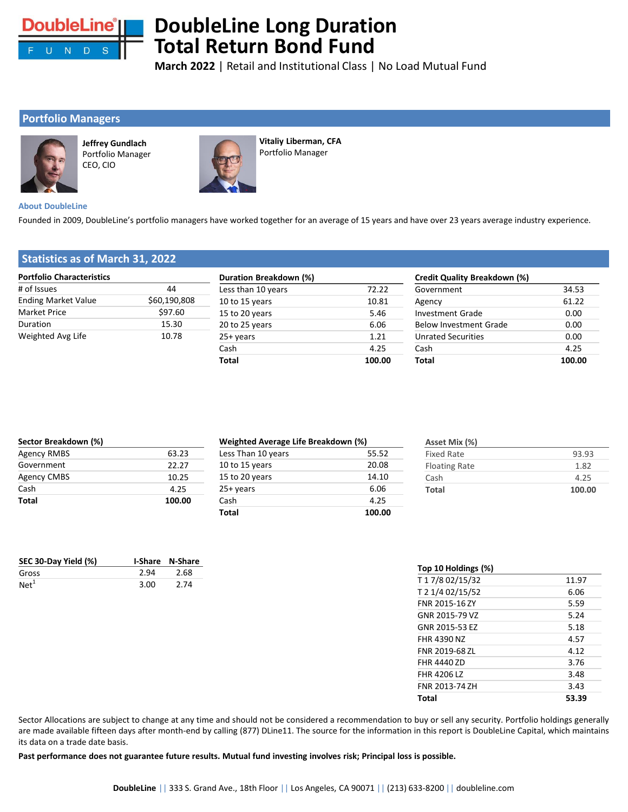

# **DoubleLine Long Duration Total Return Bond Fund**

**March 2022** | Retail and Institutional Class | No Load Mutual Fund

# **Portfolio Managers**



**Jeffrey Gundlach** Portfolio Manager CEO, CIO



**Vitaliy Liberman, CFA**  Portfolio Manager

### **About DoubleLine**

Founded in 2009, DoubleLine's portfolio managers have worked together for an average of 15 years and have over 23 years average industry experience.

# **Statistics as of March 31, 2022**

| <b>Portfolio Characteristics</b> |              | Duration Breakdown (%) |        | Credit Quality Breakdown (%)  |        |  |
|----------------------------------|--------------|------------------------|--------|-------------------------------|--------|--|
| # of Issues                      | 44           | Less than 10 years     | 72.22  | Government                    | 34.53  |  |
| <b>Ending Market Value</b>       | \$60,190,808 | 10 to 15 years         | 10.81  | Agency                        | 61.22  |  |
| <b>Market Price</b>              | \$97.60      | 15 to 20 years         | 5.46   | <b>Investment Grade</b>       | 0.00   |  |
| Duration                         | 15.30        | 20 to 25 years         | 6.06   | <b>Below Investment Grade</b> | 0.00   |  |
| Weighted Avg Life                | 10.78        | $25+vears$             | 1.21   | <b>Unrated Securities</b>     | 0.00   |  |
|                                  |              | Cash                   | 4.25   | Cash                          | 4.25   |  |
|                                  |              | <b>Total</b>           | 100.00 | Total                         | 100.00 |  |

| Sector Breakdown (%) |        | Weighted Average Life Breakdown (%) |        | Asset Mix (%)        |        |  |
|----------------------|--------|-------------------------------------|--------|----------------------|--------|--|
| Agency RMBS          | 63.23  | Less Than 10 years                  | 55.52  | <b>Fixed Rate</b>    | 93.93  |  |
| Government           | 22.27  | 10 to 15 years                      | 20.08  | <b>Floating Rate</b> | 1.82   |  |
| Agency CMBS          | 10.25  | 15 to 20 years                      | 14.10  | Cash                 | 4.25   |  |
| Cash                 | 4.25   | $25+vears$                          | 6.06   | <b>Total</b>         | 100.00 |  |
| <b>Total</b>         | 100.00 | Cash                                | 4.25   |                      |        |  |
|                      |        | <b>Total</b>                        | 100.00 |                      |        |  |

| SEC 30-Day Yield (%) |      | <b>I-Share N-Share</b> |
|----------------------|------|------------------------|
| Gross                | 2.94 | 2.68                   |
| Net <sup>1</sup>     | 3.00 | 2.74                   |

| Top 10 Holdings (%) |       |
|---------------------|-------|
| T17/802/15/32       | 11.97 |
| T 2 1/4 02/15/52    | 6.06  |
| FNR 2015-167Y       | 5.59  |
| GNR 2015-79 VZ      | 5.24  |
| GNR 2015-53 EZ      | 5.18  |
| FHR 4390 N7         | 4.57  |
| FNR 2019-68 7L      | 4.12  |
| <b>FHR 44407D</b>   | 3.76  |
| <b>FHR 4206 LZ</b>  | 3.48  |
| FNR 2013-74 7H      | 3.43  |
| Total               | 53.39 |

Sector Allocations are subject to change at any time and should not be considered a recommendation to buy or sell any security. Portfolio holdings generally are made available fifteen days after month-end by calling (877) DLine11. The source for the information in this report is DoubleLine Capital, which maintains its data on a trade date basis.

Past performance does not guarantee future results. Mutual fund investing involves risk; Principal loss is possible.